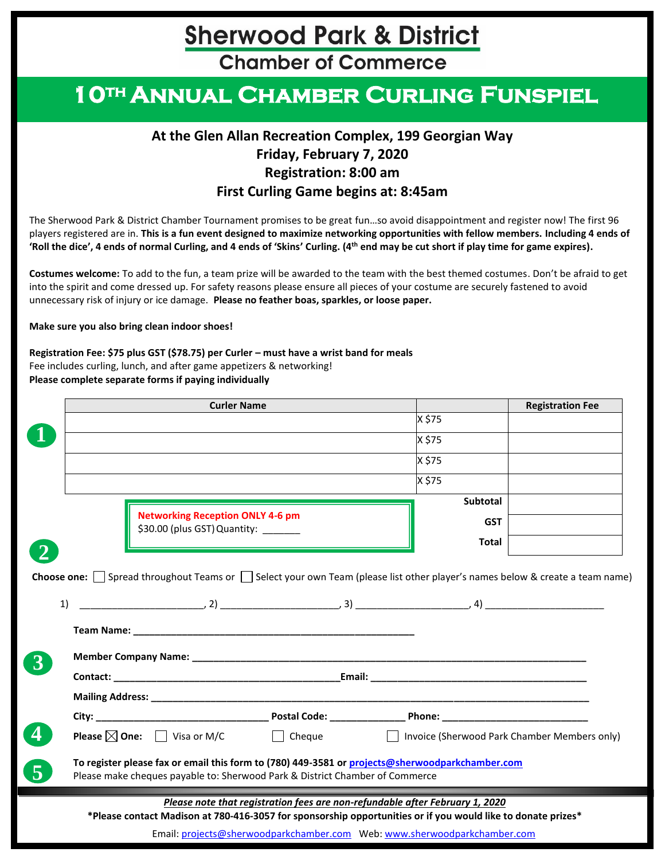**Chamber of Commerce** 

## **10th Annual Chamber Curling Funspiel**

#### **At the Glen Allan Recreation Complex, 199 Georgian Way Friday, February 7, 2020 Registration: 8:00 am First Curling Game begins at: 8:45am**

The Sherwood Park & District Chamber Tournament promises to be great fun…so avoid disappointment and register now! The first 96 players registered are in. **This is a fun event designed to maximize networking opportunities with fellow members. Including 4 ends of 'Roll the dice', 4 ends of normal Curling, and 4 ends of 'Skins' Curling. (4th end may be cut short if play time for game expires).**

**Costumes welcome:** To add to the fun, a team prize will be awarded to the team with the best themed costumes. Don't be afraid to get into the spirit and come dressed up. For safety reasons please ensure all pieces of your costume are securely fastened to avoid unnecessary risk of injury or ice damage. **Please no feather boas, sparkles, or loose paper.**

**Make sure you also bring clean indoor shoes!**

**Registration Fee: \$75 plus GST (\$78.75) per Curler – must have a wrist band for meals**  Fee includes curling, lunch, and after game appetizers & networking! **Please complete separate forms if paying individually**

|    |                                                                                 |                                                                                                                               | <b>Registration Fee</b> |
|----|---------------------------------------------------------------------------------|-------------------------------------------------------------------------------------------------------------------------------|-------------------------|
|    |                                                                                 | X \$75                                                                                                                        |                         |
|    |                                                                                 | X \$75                                                                                                                        |                         |
|    |                                                                                 | X \$75                                                                                                                        |                         |
|    |                                                                                 | X \$75                                                                                                                        |                         |
|    |                                                                                 | Subtotal                                                                                                                      |                         |
|    | <b>Networking Reception ONLY 4-6 pm</b><br>\$30.00 (plus GST) Quantity: _______ | <b>GST</b>                                                                                                                    |                         |
|    |                                                                                 | Total                                                                                                                         |                         |
| 1) |                                                                                 | Choose one: □ Spread throughout Teams or □ Select your own Team (please list other player's names below & create a team name) |                         |
|    |                                                                                 |                                                                                                                               |                         |
|    |                                                                                 |                                                                                                                               |                         |
|    |                                                                                 |                                                                                                                               |                         |
|    |                                                                                 |                                                                                                                               |                         |
|    |                                                                                 |                                                                                                                               |                         |

Email: [projects@sherwoodparkchamber.com](mailto:projects@sherwoodparkchamber.com) Web[: www.sherwoodparkchamber.com](http://www.sherwoodparkchamber.com/)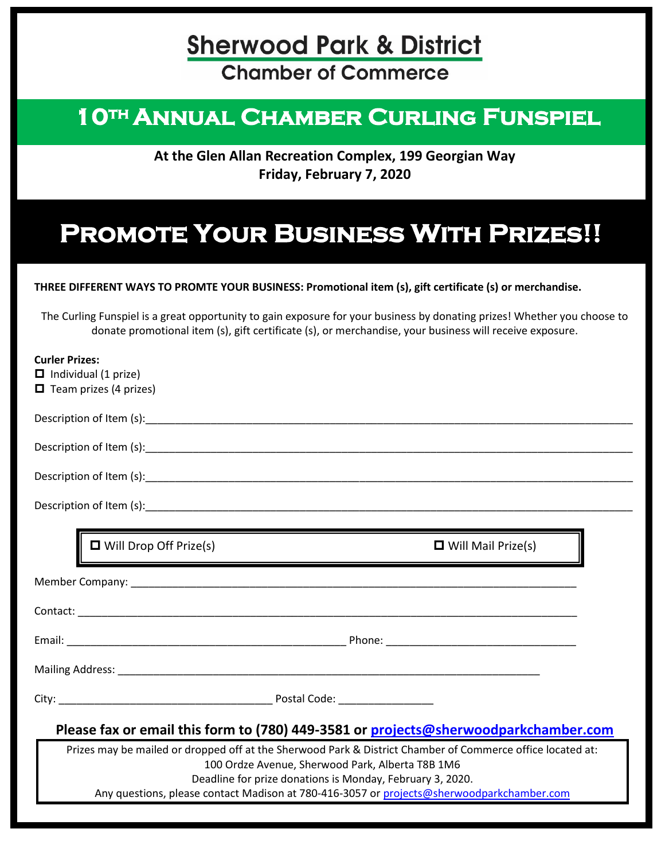**Chamber of Commerce** 

### <sup>1</sup> ANNUAL CHAMBER CURLING FUNSI **10th Annual Chamber Curling Funspiel**

**At the Glen Allan Recreation Complex, 199 Georgian Way Friday, February 7, 2020**

### **Promote Your Business With Prizes!!**

#### **THREE DIFFERENT WAYS TO PROMTE YOUR BUSINESS: Promotional item (s), gift certificate (s) or merchandise.**

The Curling Funspiel is a great opportunity to gain exposure for your business by donating prizes! Whether you choose to donate promotional item (s), gift certificate (s), or merchandise, your business will receive exposure.

|                                                                                     | <b>Curler Prizes:</b>                                                                                      |  |  |  |  |
|-------------------------------------------------------------------------------------|------------------------------------------------------------------------------------------------------------|--|--|--|--|
|                                                                                     | $\Box$ Individual (1 prize)                                                                                |  |  |  |  |
|                                                                                     | $\Box$ Team prizes (4 prizes)                                                                              |  |  |  |  |
|                                                                                     |                                                                                                            |  |  |  |  |
|                                                                                     |                                                                                                            |  |  |  |  |
|                                                                                     |                                                                                                            |  |  |  |  |
|                                                                                     |                                                                                                            |  |  |  |  |
|                                                                                     | $\Box$ Will Drop Off Prize(s)<br>$\Box$ Will Mail Prize(s)                                                 |  |  |  |  |
|                                                                                     |                                                                                                            |  |  |  |  |
|                                                                                     |                                                                                                            |  |  |  |  |
|                                                                                     |                                                                                                            |  |  |  |  |
|                                                                                     |                                                                                                            |  |  |  |  |
|                                                                                     |                                                                                                            |  |  |  |  |
| Please fax or email this form to (780) 449-3581 or projects@sherwoodparkchamber.com |                                                                                                            |  |  |  |  |
|                                                                                     | Prizes may be mailed or dropped off at the Sherwood Park & District Chamber of Commerce office located at: |  |  |  |  |
|                                                                                     | 100 Ordze Avenue, Sherwood Park, Alberta T8B 1M6                                                           |  |  |  |  |
|                                                                                     | Deadline for prize donations is Monday, February 3, 2020.                                                  |  |  |  |  |
|                                                                                     | Any questions, please contact Madison at 780-416-3057 or projects@sherwoodparkchamber.com                  |  |  |  |  |
|                                                                                     |                                                                                                            |  |  |  |  |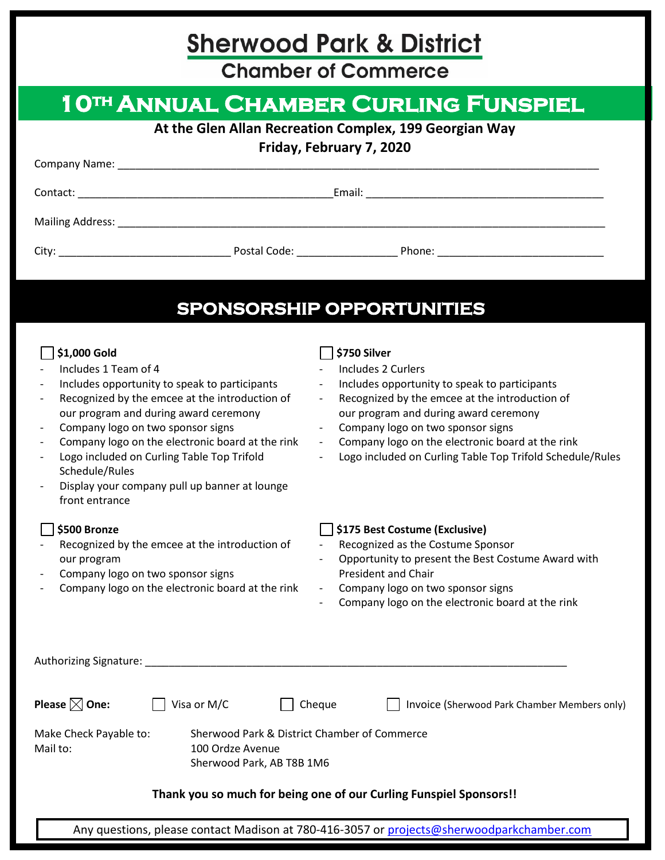**Chamber of Commerce** 

| <b>1 OTH ANNUAL CHAMBER CURLING FUNSPIEL</b>                                                                                                                                                                                                                                                                                                                                                                 |                                                                                                                                                                                                                                                                                                                                                                                                     |  |  |  |  |
|--------------------------------------------------------------------------------------------------------------------------------------------------------------------------------------------------------------------------------------------------------------------------------------------------------------------------------------------------------------------------------------------------------------|-----------------------------------------------------------------------------------------------------------------------------------------------------------------------------------------------------------------------------------------------------------------------------------------------------------------------------------------------------------------------------------------------------|--|--|--|--|
| At the Glen Allan Recreation Complex, 199 Georgian Way                                                                                                                                                                                                                                                                                                                                                       |                                                                                                                                                                                                                                                                                                                                                                                                     |  |  |  |  |
| Friday, February 7, 2020                                                                                                                                                                                                                                                                                                                                                                                     |                                                                                                                                                                                                                                                                                                                                                                                                     |  |  |  |  |
|                                                                                                                                                                                                                                                                                                                                                                                                              |                                                                                                                                                                                                                                                                                                                                                                                                     |  |  |  |  |
|                                                                                                                                                                                                                                                                                                                                                                                                              |                                                                                                                                                                                                                                                                                                                                                                                                     |  |  |  |  |
|                                                                                                                                                                                                                                                                                                                                                                                                              |                                                                                                                                                                                                                                                                                                                                                                                                     |  |  |  |  |
|                                                                                                                                                                                                                                                                                                                                                                                                              | SPONSORSHIP OPPORTUNITIES                                                                                                                                                                                                                                                                                                                                                                           |  |  |  |  |
| \$1,000 Gold<br>Includes 1 Team of 4<br>Includes opportunity to speak to participants<br>Recognized by the emcee at the introduction of<br>our program and during award ceremony<br>Company logo on two sponsor signs<br>Company logo on the electronic board at the rink<br>Logo included on Curling Table Top Trifold<br>Schedule/Rules<br>Display your company pull up banner at lounge<br>front entrance | \$750 Silver<br>Includes 2 Curlers<br>Includes opportunity to speak to participants<br>$\overline{\phantom{a}}$<br>Recognized by the emcee at the introduction of<br>$\sim$<br>our program and during award ceremony<br>- Company logo on two sponsor signs<br>Company logo on the electronic board at the rink<br>$\sim 10$<br>Logo included on Curling Table Top Trifold Schedule/Rules<br>$\sim$ |  |  |  |  |
| \$500 Bronze<br>Recognized by the emcee at the introduction of<br>our program<br>Company logo on two sponsor signs<br>Company logo on the electronic board at the rink                                                                                                                                                                                                                                       | \$175 Best Costume (Exclusive)<br>- Recognized as the Costume Sponsor<br>Opportunity to present the Best Costume Award with<br>President and Chair<br>Company logo on two sponsor signs<br>$\sim 10$<br>Company logo on the electronic board at the rink                                                                                                                                            |  |  |  |  |
|                                                                                                                                                                                                                                                                                                                                                                                                              |                                                                                                                                                                                                                                                                                                                                                                                                     |  |  |  |  |
| Please $\boxtimes$ One:<br>Visa or M/C                                                                                                                                                                                                                                                                                                                                                                       | Cheque<br>Invoice (Sherwood Park Chamber Members only)                                                                                                                                                                                                                                                                                                                                              |  |  |  |  |
| Make Check Payable to:<br>Mail to:<br>100 Ordze Avenue                                                                                                                                                                                                                                                                                                                                                       | Sherwood Park & District Chamber of Commerce<br>Sherwood Park, AB T8B 1M6                                                                                                                                                                                                                                                                                                                           |  |  |  |  |
|                                                                                                                                                                                                                                                                                                                                                                                                              | Thank you so much for being one of our Curling Funspiel Sponsors!!                                                                                                                                                                                                                                                                                                                                  |  |  |  |  |

Any questions, please contact Madison at 780-416-3057 or [projects@sherwoodparkchamber.com](mailto:projects@sherwoodparkchamber.com)